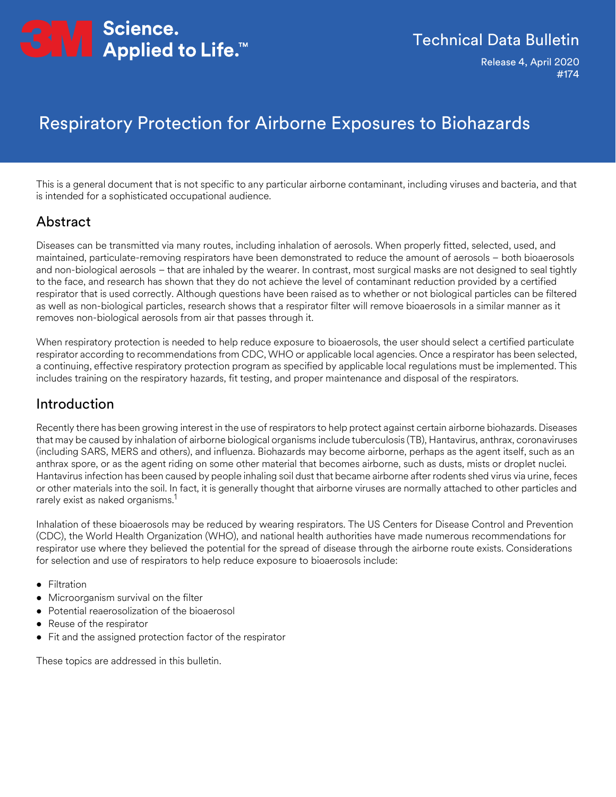

## Technical Data Bulletin

Release 4, April 2020 #174

# Respiratory Protection for Airborne Exposures to Biohazards

This is a general document that is not specific to any particular airborne contaminant, including viruses and bacteria, and that is intended for a sophisticated occupational audience.

#### Abstract

Diseases can be transmitted via many routes, including inhalation of aerosols. When properly fitted, selected, used, and maintained, particulate-removing respirators have been demonstrated to reduce the amount of aerosols – both bioaerosols and non-biological aerosols – that are inhaled by the wearer. In contrast, most surgical masks are not designed to seal tightly to the face, and research has shown that they do not achieve the level of contaminant reduction provided by a certified respirator that is used correctly. Although questions have been raised as to whether or not biological particles can be filtered as well as non-biological particles, research shows that a respirator filter will remove bioaerosols in a similar manner as it removes non-biological aerosols from air that passes through it.

When respiratory protection is needed to help reduce exposure to bioaerosols, the user should select a certified particulate respirator according to recommendations from CDC, WHO or applicable local agencies. Once a respirator has been selected, a continuing, effective respiratory protection program as specified by applicable local regulations must be implemented. This includes training on the respiratory hazards, fit testing, and proper maintenance and disposal of the respirators.

#### Introduction

Recently there has been growing interest in the use of respirators to help protect against certain airborne biohazards. Diseases that may be caused by inhalation of airborne biological organisms include tuberculosis (TB), Hantavirus, anthrax, coronaviruses (including SARS, MERS and others), and influenza. Biohazards may become airborne, perhaps as the agent itself, such as an anthrax spore, or as the agent riding on some other material that becomes airborne, such as dusts, mists or droplet nuclei. Hantavirus infection has been caused by people inhaling soil dust that became airborne after rodents shed virus via urine, feces or other materials into the soil. In fact, it is generally thought that airborne viruses are normally attached to other particles and rarely exist as naked organisms.<sup>1</sup>

Inhalation of these bioaerosols may be reduced by wearing respirators. The US Centers for Disease Control and Prevention (CDC), the World Health Organization (WHO), and national health authorities have made numerous recommendations for respirator use where they believed the potential for the spread of disease through the airborne route exists. Considerations for selection and use of respirators to help reduce exposure to bioaerosols include:

- Filtration
- Microorganism survival on the filter
- Potential reaerosolization of the bioaerosol
- Reuse of the respirator
- Fit and the assigned protection factor of the respirator

These topics are addressed in this bulletin.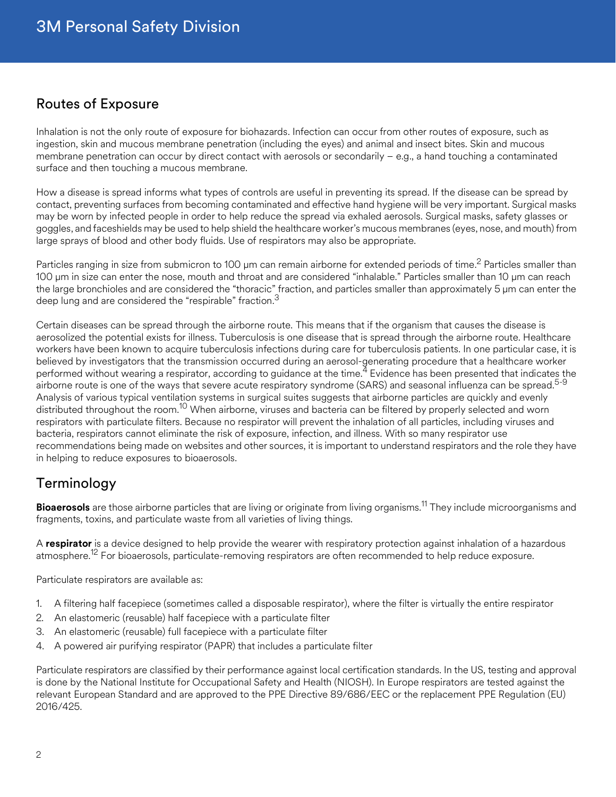## Routes of Exposure

Inhalation is not the only route of exposure for biohazards. Infection can occur from other routes of exposure, such as ingestion, skin and mucous membrane penetration (including the eyes) and animal and insect bites. Skin and mucous membrane penetration can occur by direct contact with aerosols or secondarily – e.g., a hand touching a contaminated surface and then touching a mucous membrane.

How a disease is spread informs what types of controls are useful in preventing its spread. If the disease can be spread by contact, preventing surfaces from becoming contaminated and effective hand hygiene will be very important. Surgical masks may be worn by infected people in order to help reduce the spread via exhaled aerosols. Surgical masks, safety glasses or goggles, and faceshields may be used to help shield the healthcare worker's mucous membranes (eyes, nose, and mouth) from large sprays of blood and other body fluids. Use of respirators may also be appropriate.

Particles ranging in size from submicron to 100 μm can remain airborne for extended periods of time.<sup>2</sup> Particles smaller than 100 μm in size can enter the nose, mouth and throat and are considered "inhalable." Particles smaller than 10 μm can reach the large bronchioles and are considered the "thoracic" fraction, and particles smaller than approximately 5 μm can enter the deep lung and are considered the "respirable" fraction. $3$ 

Certain diseases can be spread through the airborne route. This means that if the organism that causes the disease is aerosolized the potential exists for illness. Tuberculosis is one disease that is spread through the airborne route. Healthcare workers have been known to acquire tuberculosis infections during care for tuberculosis patients. In one particular case, it is believed by investigators that the transmission occurred during an aerosol-generating procedure that a healthcare worker performed without wearing a respirator, according to guidance at the time.<sup>4</sup> Evidence has been presented that indicates the airborne route is one of the ways that severe acute respiratory syndrome (SARS) and seasonal influenza can be spread.<sup>5-9</sup> Analysis of various typical ventilation systems in surgical suites suggests that airborne particles are quickly and evenly distributed throughout the room.<sup>10</sup> When airborne, viruses and bacteria can be filtered by properly selected and worn respirators with particulate filters. Because no respirator will prevent the inhalation of all particles, including viruses and bacteria, respirators cannot eliminate the risk of exposure, infection, and illness. With so many respirator use recommendations being made on websites and other sources, it is important to understand respirators and the role they have in helping to reduce exposures to bioaerosols.

## Terminology

**Bioaerosols** are those airborne particles that are living or originate from living organisms.11 They include microorganisms and fragments, toxins, and particulate waste from all varieties of living things.

A **respirator** is a device designed to help provide the wearer with respiratory protection against inhalation of a hazardous atmosphere.<sup>12</sup> For bioaerosols, particulate-removing respirators are often recommended to help reduce exposure.

Particulate respirators are available as:

- 1. A filtering half facepiece (sometimes called a disposable respirator), where the filter is virtually the entire respirator
- 2. An elastomeric (reusable) half facepiece with a particulate filter
- 3. An elastomeric (reusable) full facepiece with a particulate filter
- 4. A powered air purifying respirator (PAPR) that includes a particulate filter

Particulate respirators are classified by their performance against local certification standards. In the US, testing and approval is done by the National Institute for Occupational Safety and Health (NIOSH). In Europe respirators are tested against the relevant European Standard and are approved to the PPE Directive 89/686/EEC or the replacement PPE Regulation (EU) 2016/425.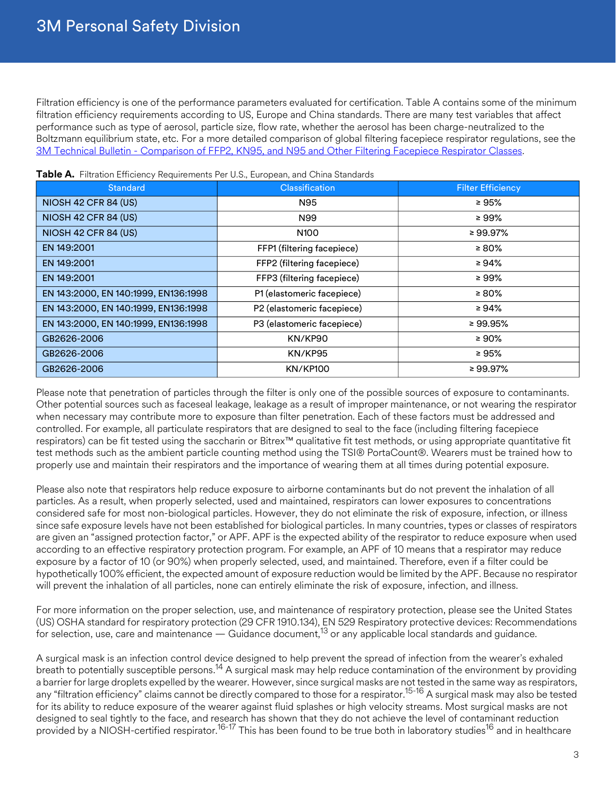Filtration efficiency is one of the performance parameters evaluated for certification. Table A contains some of the minimum filtration efficiency requirements according to US, Europe and China standards. There are many test variables that affect performance such as type of aerosol, particle size, flow rate, whether the aerosol has been charge-neutralized to the Boltzmann equilibrium state, etc. For a more detailed comparison of global filtering facepiece respirator regulations, see the [3M Technical Bulletin - Comparison of FFP2, KN95, and N95 and Other Filtering Facepiece Respirator Classes](https://multimedia.3m.com/mws/media/1791500O/comparison-ffp2-kn95-n95-filtering-facepiece-respirator-classes-tb.pdf).

| <b>Standard</b>                      | <b>Classification</b>      | <b>Filter Efficiency</b> |
|--------------------------------------|----------------------------|--------------------------|
| NIOSH 42 CFR 84 (US)                 | N95                        | $\geq 95\%$              |
| NIOSH 42 CFR 84 (US)                 | N99                        | ≥ 99%                    |
| NIOSH 42 CFR 84 (US)                 | N <sub>100</sub>           | ≥ 99.97%                 |
| EN 149:2001                          | FFP1 (filtering facepiece) | $\geq 80\%$              |
| EN 149:2001                          | FFP2 (filtering facepiece) | ≥ 94%                    |
| EN 149:2001                          | FFP3 (filtering facepiece) | ≥ 99%                    |
| EN 143:2000, EN 140:1999, EN136:1998 | P1 (elastomeric facepiece) | ≥ 80%                    |
| EN 143:2000, EN 140:1999, EN136:1998 | P2 (elastomeric facepiece) | ≥ 94%                    |
| EN 143:2000, EN 140:1999, EN136:1998 | P3 (elastomeric facepiece) | ≥ 99.95%                 |
| GB2626-2006                          | KN/KP90                    | $\geq 90\%$              |
| GB2626-2006                          | KN/KP95                    | $\geq 95\%$              |
| GB2626-2006                          | <b>KN/KP100</b>            | ≥ 99.97%                 |

**Table A.** Filtration Efficiency Requirements Per U.S., European, and China Standards

Please note that penetration of particles through the filter is only one of the possible sources of exposure to contaminants. Other potential sources such as faceseal leakage, leakage as a result of improper maintenance, or not wearing the respirator when necessary may contribute more to exposure than filter penetration. Each of these factors must be addressed and controlled. For example, all particulate respirators that are designed to seal to the face (including filtering facepiece respirators) can be fit tested using the saccharin or Bitrex™ qualitative fit test methods, or using appropriate quantitative fit test methods such as the ambient particle counting method using the TSI® PortaCount®. Wearers must be trained how to properly use and maintain their respirators and the importance of wearing them at all times during potential exposure.

Please also note that respirators help reduce exposure to airborne contaminants but do not prevent the inhalation of all particles. As a result, when properly selected, used and maintained, respirators can lower exposures to concentrations considered safe for most non-biological particles. However, they do not eliminate the risk of exposure, infection, or illness since safe exposure levels have not been established for biological particles. In many countries, types or classes of respirators are given an "assigned protection factor," or APF. APF is the expected ability of the respirator to reduce exposure when used according to an effective respiratory protection program. For example, an APF of 10 means that a respirator may reduce exposure by a factor of 10 (or 90%) when properly selected, used, and maintained. Therefore, even if a filter could be hypothetically 100% efficient, the expected amount of exposure reduction would be limited by the APF. Because no respirator will prevent the inhalation of all particles, none can entirely eliminate the risk of exposure, infection, and illness.

For more information on the proper selection, use, and maintenance of respiratory protection, please see the United States (US) OSHA standard for respiratory protection (29 CFR 1910.134), EN 529 Respiratory protective devices: Recommendations for selection, use, care and maintenance  $-$  Guidance document,<sup>13</sup> or any applicable local standards and guidance.

A surgical mask is an infection control device designed to help prevent the spread of infection from the wearer's exhaled breath to potentially susceptible persons.<sup>14</sup> A surgical mask may help reduce contamination of the environment by providing a barrier for large droplets expelled by the wearer. However, since surgical masks are not tested in the same way as respirators, any "filtration efficiency" claims cannot be directly compared to those for a respirator.<sup>15-16</sup> A surgical mask may also be tested for its ability to reduce exposure of the wearer against fluid splashes or high velocity streams. Most surgical masks are not designed to seal tightly to the face, and research has shown that they do not achieve the level of contaminant reduction provided by a NIOSH-certified respirator.<sup>16-17</sup> This has been found to be true both in laboratory studies<sup>16</sup> and in healthcare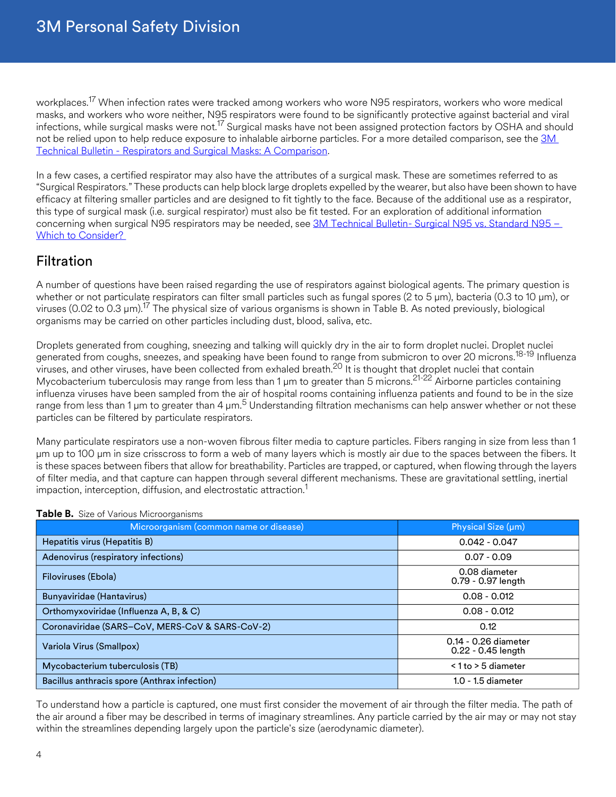workplaces.<sup>17</sup> When infection rates were tracked among workers who wore N95 respirators, workers who wore medical masks, and workers who wore neither, N95 respirators were found to be significantly protective against bacterial and viral infections, while surgical masks were not.<sup>17</sup> Surgical masks have not been assigned protection factors by OSHA and should not be relied upon to help reduce exposure to inhalable airborne particles. For a more detailed comparison, see the 3M [Technical Bulletin - Respirators and Surgical Masks: A Comparison](http://multimedia.3m.com/mws/media/957730O/respirators-and-surgical-masks-contrast-technical-bulletin.pdf).

In a few cases, a certified respirator may also have the attributes of a surgical mask. These are sometimes referred to as "Surgical Respirators." These products can help block large droplets expelled by the wearer, but also have been shown to have efficacy at filtering smaller particles and are designed to fit tightly to the face. Because of the additional use as a respirator, this type of surgical mask (i.e. surgical respirator) must also be fit tested. For an exploration of additional information concerning when surgical N95 respirators may be needed, see 3M Technical Bulletin- Surgical N95 vs. Standard N95 – [Which to Consider?](https://multimedia.3m.com/mws/media/1794572O/surgical-n95-vs-standard-n95-which-to-consider.pdf) 

## **Filtration**

A number of questions have been raised regarding the use of respirators against biological agents. The primary question is whether or not particulate respirators can filter small particles such as fungal spores (2 to 5 μm), bacteria (0.3 to 10 μm), or viruses (0.02 to 0.3 μm).17 The physical size of various organisms is shown in Table B. As noted previously, biological organisms may be carried on other particles including dust, blood, saliva, etc.

Droplets generated from coughing, sneezing and talking will quickly dry in the air to form droplet nuclei. Droplet nuclei generated from coughs, sneezes, and speaking have been found to range from submicron to over 20 microns.<sup>18-19</sup> Influenza viruses, and other viruses, have been collected from exhaled breath.<sup>20</sup> It is thought that droplet nuclei that contain Mycobacterium tuberculosis may range from less than 1 μm to greater than 5 microns.21-22 Airborne particles containing influenza viruses have been sampled from the air of hospital rooms containing influenza patients and found to be in the size range from less than 1 µm to greater than 4 µm.<sup>5</sup> Understanding filtration mechanisms can help answer whether or not these particles can be filtered by particulate respirators.

Many particulate respirators use a non-woven fibrous filter media to capture particles. Fibers ranging in size from less than 1 μm up to 100 μm in size crisscross to form a web of many layers which is mostly air due to the spaces between the fibers. It is these spaces between fibers that allow for breathability. Particles are trapped, or captured, when flowing through the layers of filter media, and that capture can happen through several different mechanisms. These are gravitational settling, inertial impaction, interception, diffusion, and electrostatic attraction.<sup>1</sup>

| Microorganism (common name or disease)          | Physical Size (µm)                         |
|-------------------------------------------------|--------------------------------------------|
| Hepatitis virus (Hepatitis B)                   | $0.042 - 0.047$                            |
| Adenovirus (respiratory infections)             | $0.07 - 0.09$                              |
| Filoviruses (Ebola)                             | 0.08 diameter<br>0.79 - 0.97 length        |
| Bunyaviridae (Hantavirus)                       | $0.08 - 0.012$                             |
| Orthomyxoviridae (Influenza A, B, & C)          | $0.08 - 0.012$                             |
| Coronaviridae (SARS-CoV, MERS-CoV & SARS-CoV-2) | 0.12                                       |
| Variola Virus (Smallpox)                        | 0.14 - 0.26 diameter<br>0.22 - 0.45 length |
| Mycobacterium tuberculosis (TB)                 | $< 1$ to $> 5$ diameter                    |
| Bacillus anthracis spore (Anthrax infection)    | $1.0 - 1.5$ diameter                       |

#### **Table B.** Size of Various Microorganisms

To understand how a particle is captured, one must first consider the movement of air through the filter media. The path of the air around a fiber may be described in terms of imaginary streamlines. Any particle carried by the air may or may not stay within the streamlines depending largely upon the particle's size (aerodynamic diameter).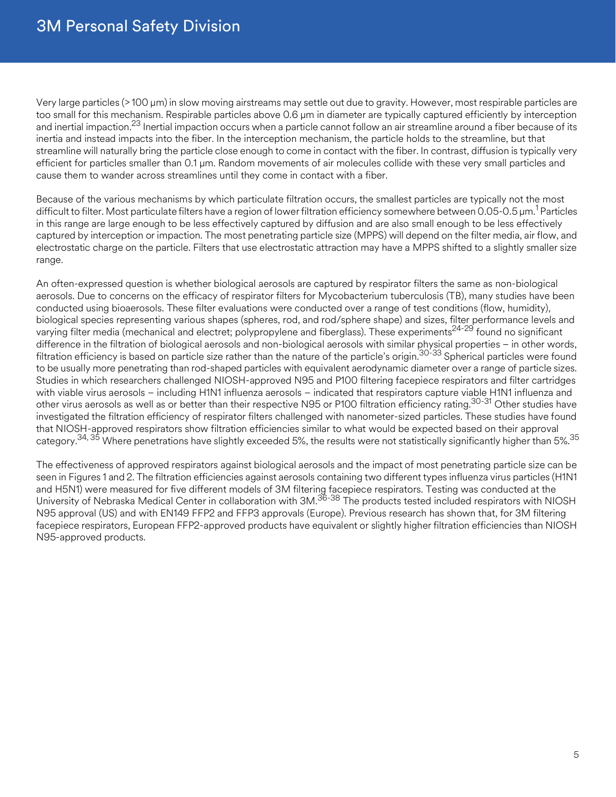Very large particles (> 100 μm) in slow moving airstreams may settle out due to gravity. However, most respirable particles are too small for this mechanism. Respirable particles above 0.6 μm in diameter are typically captured efficiently by interception and inertial impaction.<sup>23</sup> Inertial impaction occurs when a particle cannot follow an air streamline around a fiber because of its inertia and instead impacts into the fiber. In the interception mechanism, the particle holds to the streamline, but that streamline will naturally bring the particle close enough to come in contact with the fiber. In contrast, diffusion is typically very efficient for particles smaller than 0.1 μm. Random movements of air molecules collide with these very small particles and cause them to wander across streamlines until they come in contact with a fiber.

Because of the various mechanisms by which particulate filtration occurs, the smallest particles are typically not the most difficult to filter. Most particulate filters have a region of lower filtration efficiency somewhere between 0.05-0.5 μm.<sup>1</sup> Particles in this range are large enough to be less effectively captured by diffusion and are also small enough to be less effectively captured by interception or impaction. The most penetrating particle size (MPPS) will depend on the filter media, air flow, and electrostatic charge on the particle. Filters that use electrostatic attraction may have a MPPS shifted to a slightly smaller size range.

An often-expressed question is whether biological aerosols are captured by respirator filters the same as non-biological aerosols. Due to concerns on the efficacy of respirator filters for Mycobacterium tuberculosis (TB), many studies have been conducted using bioaerosols. These filter evaluations were conducted over a range of test conditions (flow, humidity), biological species representing various shapes (spheres, rod, and rod/sphere shape) and sizes, filter performance levels and varying filter media (mechanical and electret; polypropylene and fiberglass). These experiments<sup>24-29</sup> found no significant difference in the filtration of biological aerosols and non-biological aerosols with similar physical properties – in other words, filtration efficiency is based on particle size rather than the nature of the particle's origin.<sup>30-33</sup> Spherical particles were found to be usually more penetrating than rod-shaped particles with equivalent aerodynamic diameter over a range of particle sizes. Studies in which researchers challenged NIOSH-approved N95 and P100 filtering facepiece respirators and filter cartridges with viable virus aerosols – including H1N1 influenza aerosols – indicated that respirators capture viable H1N1 influenza and other virus aerosols as well as or better than their respective N95 or P100 filtration efficiency rating.30-31 Other studies have investigated the filtration efficiency of respirator filters challenged with nanometer-sized particles. These studies have found that NIOSH-approved respirators show filtration efficiencies similar to what would be expected based on their approval category.34, 35 Where penetrations have slightly exceeded 5%, the results were not statistically significantly higher than 5%.35

The effectiveness of approved respirators against biological aerosols and the impact of most penetrating particle size can be seen in Figures 1 and 2. The filtration efficiencies against aerosols containing two different types influenza virus particles (H1N1 and H5N1) were measured for five different models of 3M filtering facepiece respirators. Testing was conducted at the University of Nebraska Medical Center in collaboration with 3M.<sup>36-38</sup> The products tested included respirators with NIOSH N95 approval (US) and with EN149 FFP2 and FFP3 approvals (Europe). Previous research has shown that, for 3M filtering facepiece respirators, European FFP2-approved products have equivalent or slightly higher filtration efficiencies than NIOSH N95-approved products.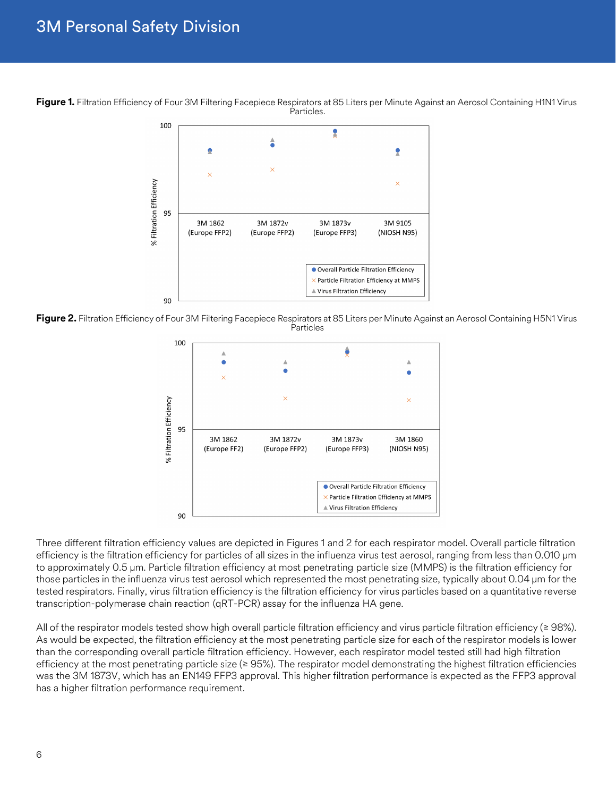## 3M Personal Safety Division

**Figure 1.** Filtration Efficiency of Four 3M Filtering Facepiece Respirators at 85 Liters per Minute Against an Aerosol Containing H1N1 Virus Particles.



**Figure 2.** Filtration Efficiency of Four 3M Filtering Facepiece Respirators at 85 Liters per Minute Against an Aerosol Containing H5N1 Virus Particles



Three different filtration efficiency values are depicted in Figures 1 and 2 for each respirator model. Overall particle filtration efficiency is the filtration efficiency for particles of all sizes in the influenza virus test aerosol, ranging from less than 0.010 µm to approximately 0.5 µm. Particle filtration efficiency at most penetrating particle size (MMPS) is the filtration efficiency for those particles in the influenza virus test aerosol which represented the most penetrating size, typically about 0.04 µm for the tested respirators. Finally, virus filtration efficiency is the filtration efficiency for virus particles based on a quantitative reverse transcription-polymerase chain reaction (qRT-PCR) assay for the influenza HA gene.

All of the respirator models tested show high overall particle filtration efficiency and virus particle filtration efficiency ( $\geq 98\%$ ). As would be expected, the filtration efficiency at the most penetrating particle size for each of the respirator models is lower than the corresponding overall particle filtration efficiency. However, each respirator model tested still had high filtration efficiency at the most penetrating particle size ( $\geq$  95%). The respirator model demonstrating the highest filtration efficiencies was the 3M 1873V, which has an EN149 FFP3 approval. This higher filtration performance is expected as the FFP3 approval has a higher filtration performance requirement.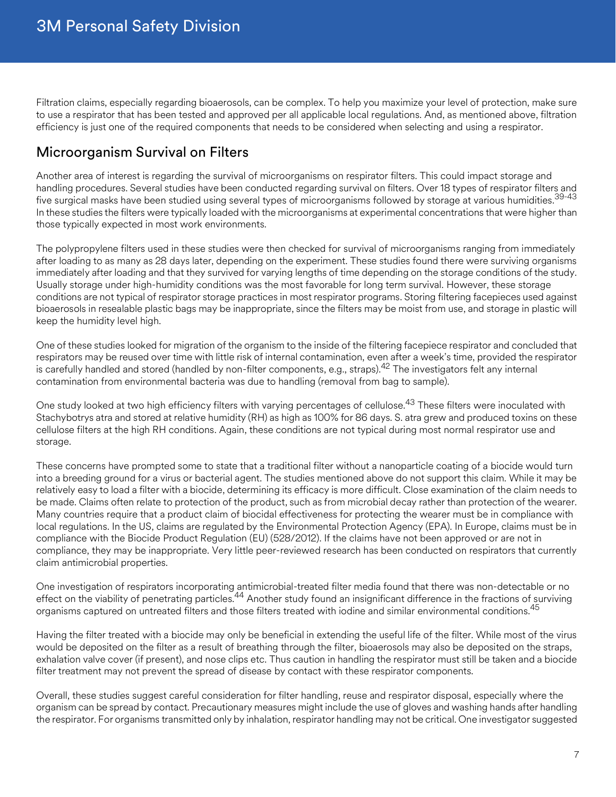Filtration claims, especially regarding bioaerosols, can be complex. To help you maximize your level of protection, make sure to use a respirator that has been tested and approved per all applicable local regulations. And, as mentioned above, filtration efficiency is just one of the required components that needs to be considered when selecting and using a respirator.

## Microorganism Survival on Filters

Another area of interest is regarding the survival of microorganisms on respirator filters. This could impact storage and handling procedures. Several studies have been conducted regarding survival on filters. Over 18 types of respirator filters and five surgical masks have been studied using several types of microorganisms followed by storage at various humidities.<sup>39-43</sup> In these studies the filters were typically loaded with the microorganisms at experimental concentrations that were higher than those typically expected in most work environments.

The polypropylene filters used in these studies were then checked for survival of microorganisms ranging from immediately after loading to as many as 28 days later, depending on the experiment. These studies found there were surviving organisms immediately after loading and that they survived for varying lengths of time depending on the storage conditions of the study. Usually storage under high-humidity conditions was the most favorable for long term survival. However, these storage conditions are not typical of respirator storage practices in most respirator programs. Storing filtering facepieces used against bioaerosols in resealable plastic bags may be inappropriate, since the filters may be moist from use, and storage in plastic will keep the humidity level high.

One of these studies looked for migration of the organism to the inside of the filtering facepiece respirator and concluded that respirators may be reused over time with little risk of internal contamination, even after a week's time, provided the respirator is carefully handled and stored (handled by non-filter components, e.g., straps).<sup>42</sup> The investigators felt any internal contamination from environmental bacteria was due to handling (removal from bag to sample).

One study looked at two high efficiency filters with varying percentages of cellulose.<sup>43</sup> These filters were inoculated with Stachybotrys atra and stored at relative humidity (RH) as high as 100% for 86 days. S. atra grew and produced toxins on these cellulose filters at the high RH conditions. Again, these conditions are not typical during most normal respirator use and storage.

These concerns have prompted some to state that a traditional filter without a nanoparticle coating of a biocide would turn into a breeding ground for a virus or bacterial agent. The studies mentioned above do not support this claim. While it may be relatively easy to load a filter with a biocide, determining its efficacy is more difficult. Close examination of the claim needs to be made. Claims often relate to protection of the product, such as from microbial decay rather than protection of the wearer. Many countries require that a product claim of biocidal effectiveness for protecting the wearer must be in compliance with local regulations. In the US, claims are regulated by the Environmental Protection Agency (EPA). In Europe, claims must be in compliance with the Biocide Product Regulation (EU) (528/2012). If the claims have not been approved or are not in compliance, they may be inappropriate. Very little peer-reviewed research has been conducted on respirators that currently claim antimicrobial properties.

One investigation of respirators incorporating antimicrobial-treated filter media found that there was non-detectable or no effect on the viability of penetrating particles.<sup>44</sup> Another study found an insignificant difference in the fractions of surviving organisms captured on untreated filters and those filters treated with iodine and similar environmental conditions.<sup>45</sup>

Having the filter treated with a biocide may only be beneficial in extending the useful life of the filter. While most of the virus would be deposited on the filter as a result of breathing through the filter, bioaerosols may also be deposited on the straps, exhalation valve cover (if present), and nose clips etc. Thus caution in handling the respirator must still be taken and a biocide filter treatment may not prevent the spread of disease by contact with these respirator components.

Overall, these studies suggest careful consideration for filter handling, reuse and respirator disposal, especially where the organism can be spread by contact. Precautionary measures might include the use of gloves and washing hands after handling the respirator. For organisms transmitted only by inhalation, respirator handling may not be critical. One investigator suggested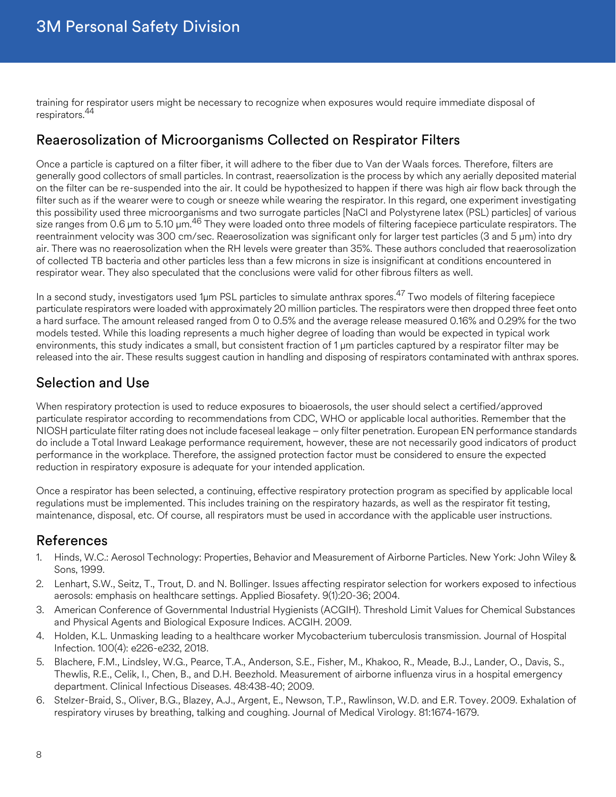training for respirator users might be necessary to recognize when exposures would require immediate disposal of respirators.<sup>44</sup>

## Reaerosolization of Microorganisms Collected on Respirator Filters

Once a particle is captured on a filter fiber, it will adhere to the fiber due to Van der Waals forces. Therefore, filters are generally good collectors of small particles. In contrast, reaersolization is the process by which any aerially deposited material on the filter can be re-suspended into the air. It could be hypothesized to happen if there was high air flow back through the filter such as if the wearer were to cough or sneeze while wearing the respirator. In this regard, one experiment investigating this possibility used three microorganisms and two surrogate particles [NaCl and Polystyrene latex (PSL) particles] of various size ranges from 0.6 µm to 5.10 µm.<sup>46</sup> They were loaded onto three models of filtering facepiece particulate respirators. The reentrainment velocity was 300 cm/sec. Reaerosolization was significant only for larger test particles (3 and 5 μm) into dry air. There was no reaerosolization when the RH levels were greater than 35%. These authors concluded that reaerosolization of collected TB bacteria and other particles less than a few microns in size is insignificant at conditions encountered in respirator wear. They also speculated that the conclusions were valid for other fibrous filters as well.

In a second study, investigators used 1µm PSL particles to simulate anthrax spores.<sup>47</sup> Two models of filtering facepiece particulate respirators were loaded with approximately 20 million particles. The respirators were then dropped three feet onto a hard surface. The amount released ranged from 0 to 0.5% and the average release measured 0.16% and 0.29% for the two models tested. While this loading represents a much higher degree of loading than would be expected in typical work environments, this study indicates a small, but consistent fraction of 1 um particles captured by a respirator filter may be released into the air. These results suggest caution in handling and disposing of respirators contaminated with anthrax spores.

## Selection and Use

When respiratory protection is used to reduce exposures to bioaerosols, the user should select a certified/approved particulate respirator according to recommendations from CDC, WHO or applicable local authorities. Remember that the NIOSH particulate filter rating does not include faceseal leakage – only filter penetration. European EN performance standards do include a Total Inward Leakage performance requirement, however, these are not necessarily good indicators of product performance in the workplace. Therefore, the assigned protection factor must be considered to ensure the expected reduction in respiratory exposure is adequate for your intended application.

Once a respirator has been selected, a continuing, effective respiratory protection program as specified by applicable local regulations must be implemented. This includes training on the respiratory hazards, as well as the respirator fit testing, maintenance, disposal, etc. Of course, all respirators must be used in accordance with the applicable user instructions.

## References

- 1. Hinds, W.C.: Aerosol Technology: Properties, Behavior and Measurement of Airborne Particles. New York: John Wiley & Sons, 1999.
- 2. Lenhart, S.W., Seitz, T., Trout, D. and N. Bollinger. Issues affecting respirator selection for workers exposed to infectious aerosols: emphasis on healthcare settings. Applied Biosafety. 9(1):20-36; 2004.
- 3. American Conference of Governmental Industrial Hygienists (ACGIH). Threshold Limit Values for Chemical Substances and Physical Agents and Biological Exposure Indices. ACGIH. 2009.
- 4. Holden, K.L. Unmasking leading to a healthcare worker Mycobacterium tuberculosis transmission. Journal of Hospital Infection. 100(4): e226-e232, 2018.
- 5. Blachere, F.M., Lindsley, W.G., Pearce, T.A., Anderson, S.E., Fisher, M., Khakoo, R., Meade, B.J., Lander, O., Davis, S., Thewlis, R.E., Celik, I., Chen, B., and D.H. Beezhold. Measurement of airborne influenza virus in a hospital emergency department. Clinical Infectious Diseases. 48:438-40; 2009.
- 6. Stelzer-Braid, S., Oliver, B.G., Blazey, A.J., Argent, E., Newson, T.P., Rawlinson, W.D. and E.R. Tovey. 2009. Exhalation of respiratory viruses by breathing, talking and coughing. Journal of Medical Virology. 81:1674-1679.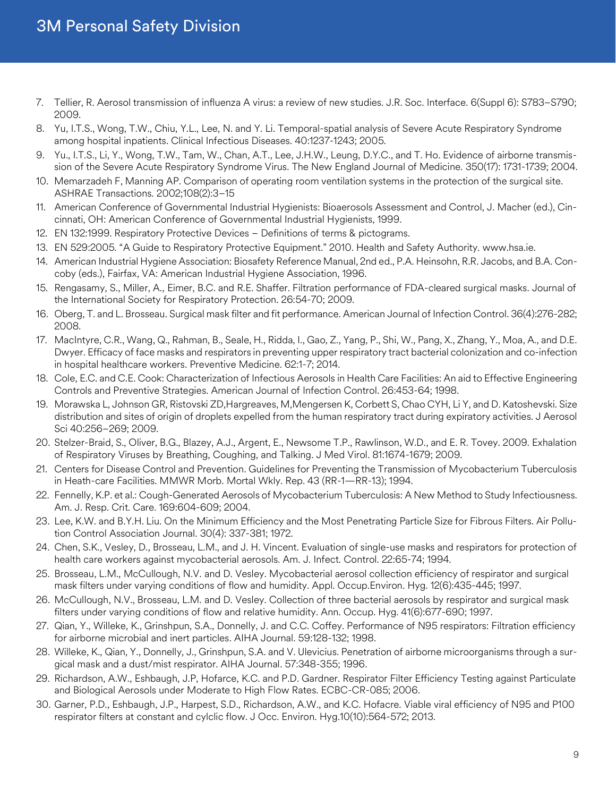## 3M Personal Safety Division

- 7. Tellier, R. Aerosol transmission of influenza A virus: a review of new studies. J.R. Soc. Interface. 6(Suppl 6): S783–S790; 2009.
- 8. Yu, I.T.S., Wong, T.W., Chiu, Y.L., Lee, N. and Y. Li. Temporal-spatial analysis of Severe Acute Respiratory Syndrome among hospital inpatients. Clinical Infectious Diseases. 40:1237-1243; 2005.
- 9. Yu., I.T.S., Li, Y., Wong, T.W., Tam, W., Chan, A.T., Lee, J.H.W., Leung, D.Y.C., and T. Ho. Evidence of airborne transmission of the Severe Acute Respiratory Syndrome Virus. The New England Journal of Medicine. 350(17): 1731-1739; 2004.
- 10. Memarzadeh F, Manning AP. Comparison of operating room ventilation systems in the protection of the surgical site. ASHRAE Transactions. 2002;108(2):3–15
- 11. American Conference of Governmental Industrial Hygienists: Bioaerosols Assessment and Control, J. Macher (ed.), Cincinnati, OH: American Conference of Governmental Industrial Hygienists, 1999.
- 12. EN 132:1999. Respiratory Protective Devices Definitions of terms & pictograms.
- 13. EN 529:2005. "A Guide to Respiratory Protective Equipment." 2010. Health and Safety Authority. www.hsa.ie.
- 14. American Industrial Hygiene Association: Biosafety Reference Manual, 2nd ed., P.A. Heinsohn, R.R. Jacobs, and B.A. Concoby (eds.), Fairfax, VA: American Industrial Hygiene Association, 1996.
- 15. Rengasamy, S., Miller, A., Eimer, B.C. and R.E. Shaffer. Filtration performance of FDA-cleared surgical masks. Journal of the International Society for Respiratory Protection. 26:54-70; 2009.
- 16. Oberg, T. and L. Brosseau. Surgical mask filter and fit performance. American Journal of Infection Control. 36(4):276-282; 2008.
- 17. MacIntyre, C.R., Wang, Q., Rahman, B., Seale, H., Ridda, I., Gao, Z., Yang, P., Shi, W., Pang, X., Zhang, Y., Moa, A., and D.E. Dwyer. Efficacy of face masks and respirators in preventing upper respiratory tract bacterial colonization and co-infection in hospital healthcare workers. Preventive Medicine. 62:1-7; 2014.
- 18. Cole, E.C. and C.E. Cook: Characterization of Infectious Aerosols in Health Care Facilities: An aid to Effective Engineering Controls and Preventive Strategies. American Journal of Infection Control. 26:453-64; 1998.
- 19. Morawska L, Johnson GR, Ristovski ZD,Hargreaves, M,Mengersen K, Corbett S, Chao CYH, Li Y, and D. Katoshevski. Size distribution and sites of origin of droplets expelled from the human respiratory tract during expiratory activities. J Aerosol Sci 40:256–269; 2009.
- 20. Stelzer-Braid, S., Oliver, B.G., Blazey, A.J., Argent, E., Newsome T.P., Rawlinson, W.D., and E. R. Tovey. 2009. Exhalation of Respiratory Viruses by Breathing, Coughing, and Talking. J Med Virol. 81:1674-1679; 2009.
- 21. Centers for Disease Control and Prevention. Guidelines for Preventing the Transmission of Mycobacterium Tuberculosis in Heath-care Facilities. MMWR Morb. Mortal Wkly. Rep. 43 (RR-1—RR-13); 1994.
- 22. Fennelly, K.P. et al.: Cough-Generated Aerosols of Mycobacterium Tuberculosis: A New Method to Study Infectiousness. Am. J. Resp. Crit. Care. 169:604-609; 2004.
- 23. Lee, K.W. and B.Y.H. Liu. On the Minimum Efficiency and the Most Penetrating Particle Size for Fibrous Filters. Air Pollution Control Association Journal. 30(4): 337-381; 1972.
- 24. Chen, S.K., Vesley, D., Brosseau, L.M., and J. H. Vincent. Evaluation of single-use masks and respirators for protection of health care workers against mycobacterial aerosols. Am. J. Infect. Control. 22:65-74; 1994.
- 25. Brosseau, L.M., McCullough, N.V. and D. Vesley. Mycobacterial aerosol collection efficiency of respirator and surgical mask filters under varying conditions of flow and humidity. Appl. Occup.Environ. Hyg. 12(6):435-445; 1997.
- 26. McCullough, N.V., Brosseau, L.M. and D. Vesley. Collection of three bacterial aerosols by respirator and surgical mask filters under varying conditions of flow and relative humidity. Ann. Occup. Hyg. 41(6):677-690; 1997.
- 27. Qian, Y., Willeke, K., Grinshpun, S.A., Donnelly, J. and C.C. Coffey. Performance of N95 respirators: Filtration efficiency for airborne microbial and inert particles. AIHA Journal. 59:128-132; 1998.
- 28. Willeke, K., Qian, Y., Donnelly, J., Grinshpun, S.A. and V. Ulevicius. Penetration of airborne microorganisms through a surgical mask and a dust/mist respirator. AIHA Journal. 57:348-355; 1996.
- 29. Richardson, A.W., Eshbaugh, J.P, Hofarce, K.C. and P.D. Gardner. Respirator Filter Efficiency Testing against Particulate and Biological Aerosols under Moderate to High Flow Rates. ECBC-CR-085; 2006.
- 30. Garner, P.D., Eshbaugh, J.P., Harpest, S.D., Richardson, A.W., and K.C. Hofacre. Viable viral efficiency of N95 and P100 respirator filters at constant and cylclic flow. J Occ. Environ. Hyg.10(10):564-572; 2013.